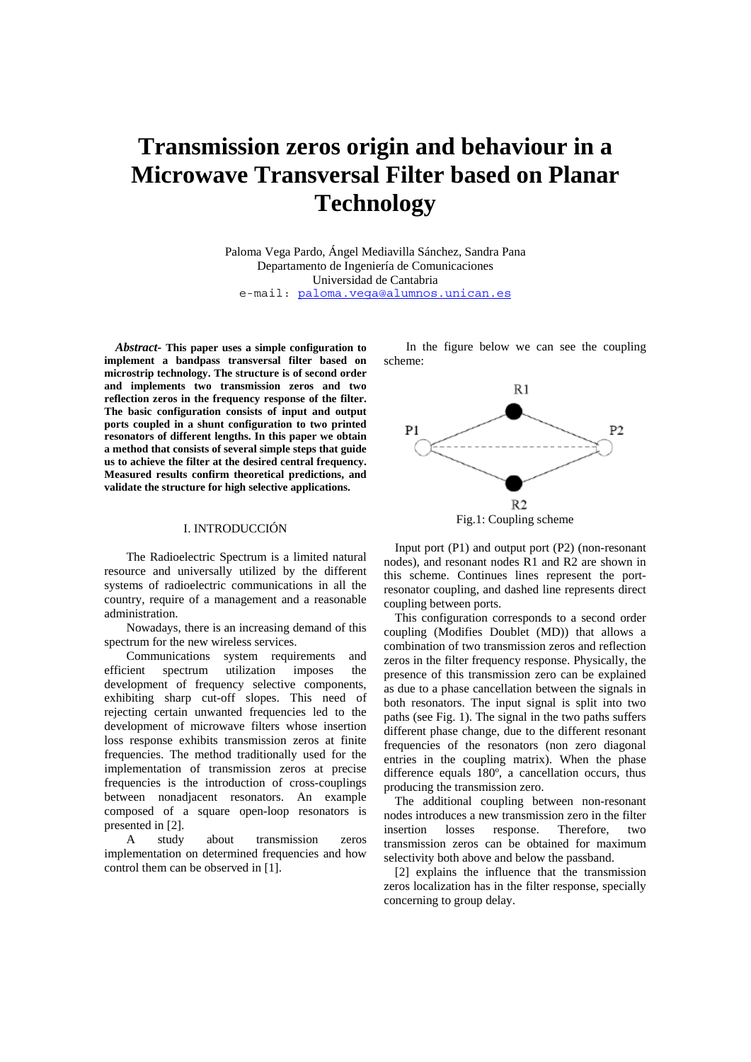# **Transmission zeros origin and behaviour in a Microwave Transversal Filter based on Planar Technology**

Paloma Vega Pardo, Ángel Mediavilla Sánchez, Sandra Pana Departamento de Ingeniería de Comunicaciones Universidad de Cantabria e-mail: paloma.vega@alumnos.unican.es

*Abstract-* **This paper uses a simple configuration to implement a bandpass transversal filter based on microstrip technology. The structure is of second order and implements two transmission zeros and two reflection zeros in the frequency response of the filter. The basic configuration consists of input and output ports coupled in a shunt configuration to two printed resonators of different lengths. In this paper we obtain a method that consists of several simple steps that guide us to achieve the filter at the desired central frequency. Measured results confirm theoretical predictions, and validate the structure for high selective applications.**

### I. INTRODUCCIÓN

The Radioelectric Spectrum is a limited natural resource and universally utilized by the different systems of radioelectric communications in all the country, require of a management and a reasonable administration.

Nowadays, there is an increasing demand of this spectrum for the new wireless services.

Communications system requirements and efficient spectrum utilization imposes the development of frequency selective components, exhibiting sharp cut-off slopes. This need of rejecting certain unwanted frequencies led to the development of microwave filters whose insertion loss response exhibits transmission zeros at finite frequencies. The method traditionally used for the implementation of transmission zeros at precise frequencies is the introduction of cross-couplings between nonadjacent resonators. An example composed of a square open-loop resonators is presented in [2].

A study about transmission zeros implementation on determined frequencies and how control them can be observed in [1].

In the figure below we can see the coupling scheme:



Input port (P1) and output port (P2) (non-resonant nodes), and resonant nodes R1 and R2 are shown in this scheme. Continues lines represent the portresonator coupling, and dashed line represents direct coupling between ports.

This configuration corresponds to a second order coupling (Modifies Doublet (MD)) that allows a combination of two transmission zeros and reflection zeros in the filter frequency response. Physically, the presence of this transmission zero can be explained as due to a phase cancellation between the signals in both resonators. The input signal is split into two paths (see Fig. 1). The signal in the two paths suffers different phase change, due to the different resonant frequencies of the resonators (non zero diagonal entries in the coupling matrix). When the phase difference equals 180º, a cancellation occurs, thus producing the transmission zero.

The additional coupling between non-resonant nodes introduces a new transmission zero in the filter insertion losses response. Therefore, two transmission zeros can be obtained for maximum selectivity both above and below the passband.

[2] explains the influence that the transmission zeros localization has in the filter response, specially concerning to group delay.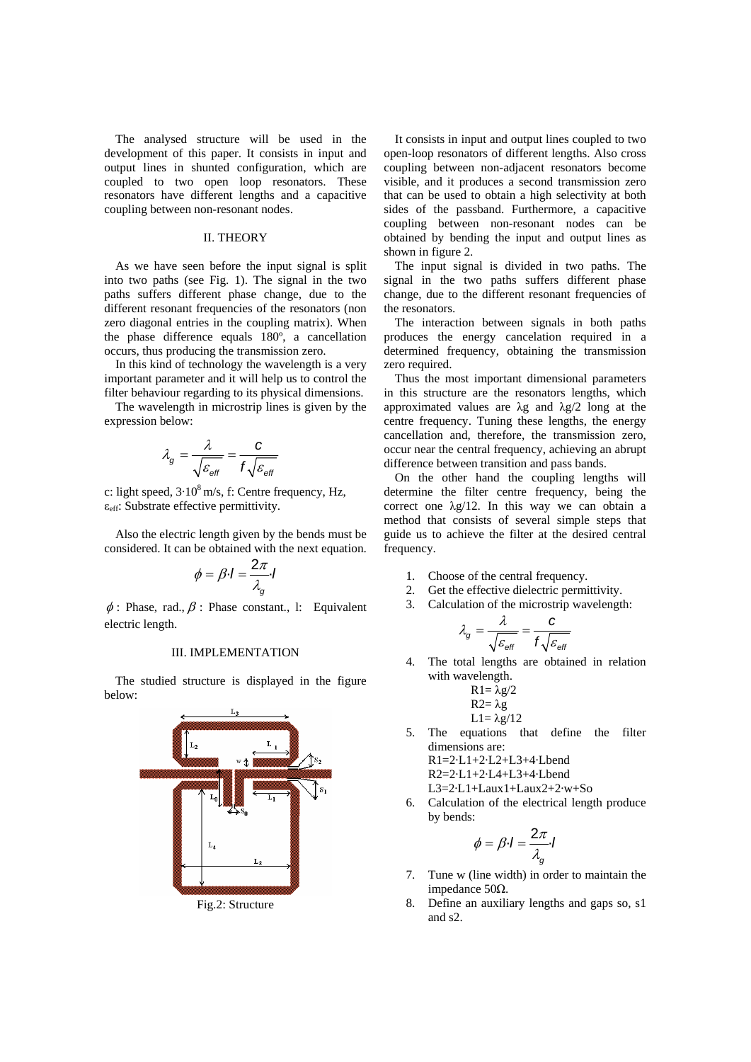The analysed structure will be used in the development of this paper. It consists in input and output lines in shunted configuration, which are coupled to two open loop resonators. These resonators have different lengths and a capacitive coupling between non-resonant nodes.

#### II. THEORY

As we have seen before the input signal is split into two paths (see Fig. 1). The signal in the two paths suffers different phase change, due to the different resonant frequencies of the resonators (non zero diagonal entries in the coupling matrix). When the phase difference equals 180º, a cancellation occurs, thus producing the transmission zero.

In this kind of technology the wavelength is a very important parameter and it will help us to control the filter behaviour regarding to its physical dimensions.

The wavelength in microstrip lines is given by the expression below:

$$
\lambda_g = \frac{\lambda}{\sqrt{\varepsilon_{\text{eff}}}} = \frac{c}{f\sqrt{\varepsilon_{\text{eff}}}}
$$

c: light speed,  $3.10^8$  m/s, f: Centre frequency, Hz,  $\varepsilon$ <sub>eff</sub>: Substrate effective permittivity.

Also the electric length given by the bends must be considered. It can be obtained with the next equation.

$$
\phi = \beta \cdot I = \frac{2\pi}{\lambda_g} \cdot I
$$

 $\phi$ : Phase, rad.,  $\beta$ : Phase constant., l: Equivalent electric length.

#### III. IMPLEMENTATION

The studied structure is displayed in the figure below:



Fig.2: Structure

It consists in input and output lines coupled to two open-loop resonators of different lengths. Also cross coupling between non-adjacent resonators become visible, and it produces a second transmission zero that can be used to obtain a high selectivity at both sides of the passband. Furthermore, a capacitive coupling between non-resonant nodes can be obtained by bending the input and output lines as shown in figure 2.

The input signal is divided in two paths. The signal in the two paths suffers different phase change, due to the different resonant frequencies of the resonators.

The interaction between signals in both paths produces the energy cancelation required in a determined frequency, obtaining the transmission zero required.

Thus the most important dimensional parameters in this structure are the resonators lengths, which approximated values are  $\lambda$ g and  $\lambda$ g/2 long at the centre frequency. Tuning these lengths, the energy cancellation and, therefore, the transmission zero, occur near the central frequency, achieving an abrupt difference between transition and pass bands.

On the other hand the coupling lengths will determine the filter centre frequency, being the correct one  $\lambda$ g/12. In this way we can obtain a method that consists of several simple steps that guide us to achieve the filter at the desired central frequency.

- 1. Choose of the central frequency.
- 2. Get the effective dielectric permittivity.
- 3. Calculation of the microstrip wavelength:

$$
\lambda_g = \frac{\lambda}{\sqrt{\varepsilon_{\text{eff}}}} = \frac{c}{f\sqrt{\varepsilon_{\text{eff}}}}
$$

4. The total lengths are obtained in relation with wavelength.

$$
R1 = \lambda g/2
$$
  
\n
$$
R2 = \lambda g
$$
  
\n
$$
L1 = \lambda g/12
$$

5. The equations that define the filter dimensions are:

- R1=2·L1+2·L2+L3+4·Lbend
- R2=2·L1+2·L4+L3+4·Lbend

L3=2·L1+Laux1+Laux2+2·w+So

6. Calculation of the electrical length produce by bends:

$$
\phi = \beta \cdot I = \frac{2\pi}{\lambda_g} \cdot I
$$

- 7. Tune w (line width) in order to maintain the impedance 50Ω.
- 8. Define an auxiliary lengths and gaps so, s1 and s2.